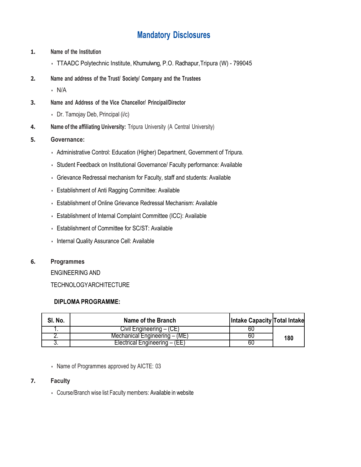# **Mandatory Disclosures**

- **1. Name of the Institution**
	- TTAADC Polytechnic Institute, Khumulwng, P.O. Radhapur,Tripura (W) 799045
- **2. Name and address of the Trust/ Society/ Company and the Trustees**

• N/A

- **3. Name and Address of the Vice Chancellor/ Principal/Director**
	- Dr. Tamojay Deb, Principal (i/c)
- **4. Name of the affiliating University:** Tripura University (A Central University)
- **5. Governance:**
	- Administrative Control: Education (Higher) Department, Government of Tripura.
	- Student Feedback on Institutional Governance/ Faculty performance: Available
	- Grievance Redressal mechanism for Faculty, staff and students: Available
	- Establishment of Anti Ragging Committee: Available
	- Establishment of Online Grievance Redressal Mechanism: Available
	- Establishment of Internal Complaint Committee (ICC): Available
	- Establishment of Committee for SC/ST: Available
	- Internal Quality Assurance Cell: Available

#### **6. Programmes**

ENGINEERING AND

TECHNOLOGYARCHITECTURE

#### **DIPLOMA PROGRAMME:**

| SI. No. | Name of the Branch            | Intake Capacity Total Intake |     |
|---------|-------------------------------|------------------------------|-----|
|         | Civil Engineering – (CE)      | bυ                           |     |
|         | Mechanical Engineering – (ME) | 60                           | 180 |
|         | Electrical Engineering – (EE) | bÜ                           |     |

• Name of Programmes approved by AICTE: 03

#### **7. Faculty**

• Course/Branch wise list Faculty members: Available in website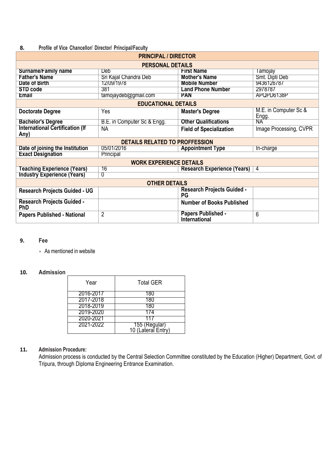## **8. Profile of Vice Chancellor/ Director/ Principal/Faculty**

| <b>PRINCIPAL / DIRECTOR</b>                     |                                       |                                                   |                                |  |
|-------------------------------------------------|---------------------------------------|---------------------------------------------------|--------------------------------|--|
|                                                 | <b>PERSONAL DETAILS</b>               |                                                   |                                |  |
| <b>Surname/Family name</b>                      | <b>Deb</b>                            | <b>First Name</b>                                 | Tamojay                        |  |
| <b>Father's Name</b>                            | Sri Kajal Chandra Deb                 | <b>Mother's Name</b>                              | Smt. Dipti Deb                 |  |
| Date of Birth                                   | 12/09/1978                            | <b>Mobile Number</b>                              | 9436126787                     |  |
| <b>STD code</b>                                 | 381                                   | <b>Land Phone Number</b>                          | 2978787                        |  |
| <b>Email</b>                                    | tamojaydeb@gmail.com                  | <b>PAN</b>                                        | APQPD6138P                     |  |
|                                                 | <b>EDUCATIONAL DETAILS</b>            |                                                   |                                |  |
| <b>Doctorate Degree</b>                         | Yes                                   | <b>Master's Degree</b>                            | M.E. in Computer Sc &<br>Engg. |  |
| <b>Bachelor's Degree</b>                        | B.E. in Computer Sc & Engg.           | <b>Other Qualifications</b>                       | NA.                            |  |
| <b>International Certification (If</b><br>Any)  | <b>NA</b>                             | <b>Field of Specialization</b>                    | Image Processing, CVPR         |  |
|                                                 | <b>DETAILS RELATED TO PROFFESSION</b> |                                                   |                                |  |
| Date of joining the Institution                 | 05/01/2016                            | <b>Appointment Type</b>                           | In-charge                      |  |
| <b>Exact Designation</b>                        | Principal                             |                                                   |                                |  |
|                                                 | <b>WORK EXPERIENCE DETAILS</b>        |                                                   |                                |  |
| <b>Teaching Experience (Years)</b>              | 16                                    | <b>Research Experience (Years)</b>   4            |                                |  |
| <b>Industry Experience (Years)</b>              | 0                                     |                                                   |                                |  |
| <b>OTHER DETAILS</b>                            |                                       |                                                   |                                |  |
| <b>Research Projects Guided - UG</b>            |                                       | <b>Research Projects Guided -</b><br>PG           |                                |  |
| <b>Research Projects Guided -</b><br><b>PhD</b> |                                       | <b>Number of Books Published</b>                  |                                |  |
| <b>Papers Published - National</b>              | $\overline{2}$                        | <b>Papers Published -</b><br><b>International</b> | 6                              |  |

#### **9. Fee**

• As mentioned in website

## **10. Admission**

| Year      | <b>Total GER</b>                    |
|-----------|-------------------------------------|
| 2016-2017 |                                     |
| 2017-2018 | 180                                 |
| 2018-2019 | 180                                 |
| 2019-2020 | 174                                 |
| 2020-2021 |                                     |
| 2021-2022 | 155 (Regular)<br>10 (Lateral Entry) |

## **11. Admission Procedure:**

Admission process is conducted by the Central Selection Committee constituted by the Education (Higher) Department, Govt. of Tripura, through Diploma Engineering Entrance Examination.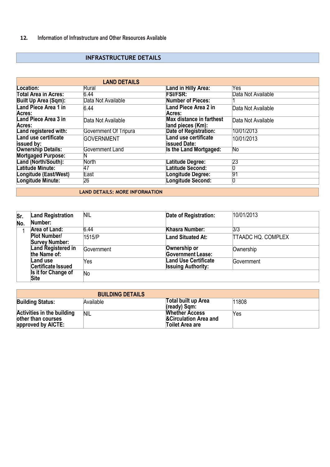## **INFRASTRUCTURE DETAILS**

|                                       | <b>LAND DETAILS</b>   |                                                      |                    |
|---------------------------------------|-----------------------|------------------------------------------------------|--------------------|
| Location:                             | Rural                 | Land in Hilly Area:                                  | Yes                |
| <b>Total Area in Acres:</b>           | 6.44                  | <b>FSI/FSR:</b>                                      | Data Not Available |
| <b>Built Up Area (Sqm):</b>           | Data Not Available    | <b>Number of Pieces:</b>                             |                    |
| <b>Land Piece Area 1 in</b><br>Acres: | 6.44                  | Land Piece Area 2 in<br>Acres:                       | Data Not Available |
| <b>Land Piece Area 3 in</b><br>Acres: | Data Not Available    | <b>Max distance in farthest</b><br>land pieces (Km): | Data Not Available |
| Land registered with:                 | Government Of Tripura | Date of Registration:                                | 10/01/2013         |
| Land use certificate<br>issued by:    | <b>GOVERNMENT</b>     | <b>Land use certificate</b><br><b>issued Date:</b>   | 10/01/2013         |
| <b>Ownership Details:</b>             | Government Land       | Is the Land Mortgaged:                               | No                 |
| <b>Mortgaged Purpose:</b>             |                       |                                                      |                    |
| Land (North/South):                   | <b>North</b>          | Latitude Degree:                                     | 23                 |
| Latitude Minute:                      | 47                    | Latitude Second:                                     |                    |
| Longitude (East/West)                 | East                  | <b>Longitude Degree:</b>                             | 91                 |
| Longitude Minute:                     | 26                    | <b>Longitude Second:</b>                             |                    |

#### **LAND DETAILS: MORE INFORMATION**

| Sr.<br>No. | <b>Land Registration</b><br>Number:          | NIL        | Date of Registration:                                    | 10/01/2013                |
|------------|----------------------------------------------|------------|----------------------------------------------------------|---------------------------|
|            | <b>Area of Land:</b>                         | 6.44       | <b>Khasra Number:</b>                                    | 3/3                       |
|            | <b>Plot Number/</b><br><b>Survey Number:</b> | 1515/P     | <b>Land Situated At:</b>                                 | <b>TTAADC HQ. COMPLEX</b> |
|            | <b>Land Registered in</b><br>the Name of:    | Government | Ownership or<br><b>Government Lease:</b>                 | Ownership                 |
|            | Land use<br>Certificate Issued               | Yes        | <b>Land Use Certificate</b><br><b>Issuing Authority:</b> | <b>Government</b>         |
|            | Is it for Change of<br>Site                  | No         |                                                          |                           |

|                                                                               | <b>BUILDING DETAILS</b> |                                                                              |       |
|-------------------------------------------------------------------------------|-------------------------|------------------------------------------------------------------------------|-------|
| <b>Building Status:</b>                                                       | Available               | Total built up Area<br>$(\text{ready})$ Sqm:                                 | 11808 |
| <b>Activities in the building</b><br>other than courses<br>approved by AICTE: | NIL                     | <b>Whether Access</b><br><b>&amp;Circulation Area and</b><br>Toilet Area are | Yes   |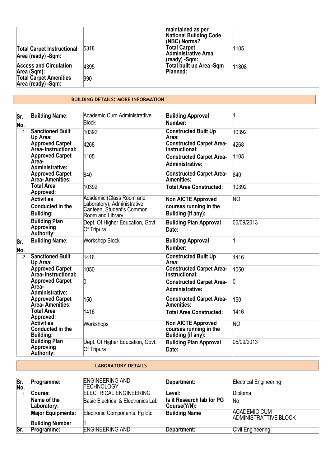|                                                         |      | maintained as per<br><b>National Building Code</b><br>(NBC) Norms? |       |
|---------------------------------------------------------|------|--------------------------------------------------------------------|-------|
| <b>Total Carpet Instructional</b><br>Area (ready) -Sqm: | 5318 | <b>Total Carpet</b><br><b>Administrative Area</b><br>(ready) -Sqm: | 1105  |
| <b>Access and Circulation</b><br>Area (Sqm):            | 4395 | Total built up Area -Sqm<br>Planned:                               | 11808 |
| <b>Total Carpet Amenities</b><br>Area (ready) -Sqm:     | 990  |                                                                    |       |

#### **BUILDING DETAILS: MORE INFORMATION**

| lSr.<br>No.    | <b>Building Name:</b>                                            | Academic Cum Administrattive<br><b>Block</b>                                                              | <b>Building Approval</b><br>Number:                                       |                        |
|----------------|------------------------------------------------------------------|-----------------------------------------------------------------------------------------------------------|---------------------------------------------------------------------------|------------------------|
| 1              | <b>Sanctioned Built</b><br>Up Area:                              | 10392                                                                                                     | <b>Constructed Built Up</b><br>Area:                                      | 10392                  |
|                | <b>Approved Carpet</b><br>Area-Instructional:                    | 4268                                                                                                      | <b>Constructed Carpet Area-</b><br><b>Instructional:</b>                  | 4268                   |
|                | <b>Approved Carpet</b><br>Area-<br>Administrative:               | 1105                                                                                                      | <b>Constructed Carpet Area-</b><br>Administrative:                        | 1105                   |
|                | <b>Approved Carpet</b><br>Area- Amenities:                       | 840                                                                                                       | <b>Constructed Carpet Area-</b><br><b>Amenities:</b>                      | 840                    |
|                | <b>Total Area</b><br>Approved:                                   | 10392                                                                                                     | <b>Total Area Constructed:</b>                                            | 10392                  |
|                | <b>Activities</b><br><b>Conducted in the</b><br><b>Building:</b> | Academic (Class Room and<br>Laboratory), Administrative,<br>Canteen, Student's Common<br>Room and Library | <b>Non AICTE Approved</b><br>courses running in the<br>Building (if any): | $\overline{\text{NO}}$ |
|                | <b>Building Plan</b><br>Approving<br>Authority:                  | Dept. Of Higher Education, Govt.<br>Of Tripura                                                            | <b>Building Plan Approval</b><br>Date:                                    | 05/09/2013             |
| lSr.<br>No.    | <b>Building Name:</b>                                            | <b>Workshop Block</b>                                                                                     | <b>Building Approval</b><br>Number:                                       |                        |
| $\overline{2}$ | <b>Sanctioned Built</b><br>Up Area:                              | 1416                                                                                                      | <b>Constructed Built Up</b><br>Area:                                      | 1416                   |
|                | <b>Approved Carpet</b><br>Area-Instructional:                    | 1050                                                                                                      | <b>Constructed Carpet Area-</b><br><b>Instructional:</b>                  | 1050                   |
|                | <b>Approved Carpet</b><br>Area-<br>Administrative:               | $\overline{0}$                                                                                            | <b>Constructed Carpet Area-</b><br>Administrative:                        | O.                     |
|                | <b>Approved Carpet</b><br>Area-Amenities:                        | 150                                                                                                       | <b>Constructed Carpet Area-</b><br><b>Amenities:</b>                      | 150                    |
|                | <b>Total Area</b><br>Approved:                                   | 1416                                                                                                      | Total Area Constructed:                                                   | 1416                   |
|                | <b>Activities</b><br>Conducted in the<br><b>Building:</b>        | Workshops                                                                                                 | <b>Non AICTE Approved</b><br>courses running in the<br>Building (if any): | ΝO                     |
|                | <b>Building Plan</b><br>Approving<br>Authority:                  | Dept. Of Higher Education, Govt.<br>Of Tripura                                                            | <b>Building Plan Approval</b><br>Date:                                    | 05/09/2013             |

#### **LABORATORY DETAILS**

| Sr.<br>No. | Programme:                 | <b>ENGINEERING AND</b><br>ITECHNOLOGY | Department:                               | <b>Electrical Engineering</b>                |
|------------|----------------------------|---------------------------------------|-------------------------------------------|----------------------------------------------|
|            | Course:                    | <b>ELECTRICAL ENGINEERING</b>         | Level:                                    | Diploma                                      |
|            | Name of the<br>Laboratory: | Basic Electrical & Electronics Lab    | Is it Research lab for PG<br>Course(Y/N): | Νo                                           |
|            | <b>Major Equipments:</b>   | Electronic Components, Fg Etc.        | <b>Building Name</b>                      | <b>ACADEMIC CUM</b><br>ADMINISTRATTIVE BLOCK |
|            | <b>Building Number</b>     |                                       |                                           |                                              |
| Sr.        | Programme:                 | <b>ENGINEERING AND</b>                | Department:                               | Civil Engineering                            |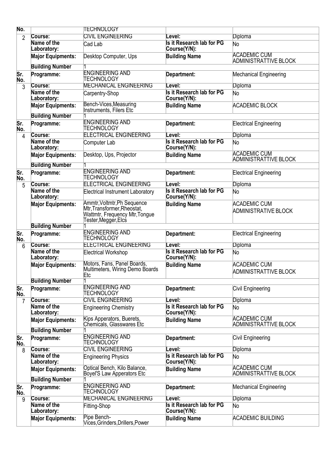| No.            |                            | <b>TECHNOLOGY</b>                                                                                                         |                                           |                                                     |
|----------------|----------------------------|---------------------------------------------------------------------------------------------------------------------------|-------------------------------------------|-----------------------------------------------------|
| $\overline{2}$ | Course:                    | <b>CIVIL ENGINEERING</b>                                                                                                  | evel:                                     | Diploma                                             |
|                | Name of the<br>Laboratory: | Cad Lab                                                                                                                   | Is it Research lab for PG<br>Course(Y/N): | No                                                  |
|                | <b>Major Equipments:</b>   | Desktop Computer, Ups                                                                                                     | <b>Building Name</b>                      | <b>ACADEMIC CUM</b><br><b>ADMINISTRATTIVE BLOCK</b> |
|                | <b>Building Number</b>     |                                                                                                                           |                                           |                                                     |
| Sr.<br>No.     | Programme:                 | <b>ENGINEERING AND</b><br>TECHNOLOGY                                                                                      | Department:                               | <b>Mechanical Engineering</b>                       |
| 3              | Course:                    | <b>MECHANICAL ENGINEERING</b>                                                                                             | _evel:                                    | <b>Diploma</b>                                      |
|                | Name of the<br>Laboratory: | Carpentry-Shop                                                                                                            | Is it Research lab for PG<br>Course(Y/N): | No                                                  |
|                | <b>Major Equipments:</b>   | Bench-Vices, Measuring<br>Instruments, Filers Etc                                                                         | <b>Building Name</b>                      | <b>ACADEMIC BLOCK</b>                               |
|                | <b>Building Number</b>     |                                                                                                                           |                                           |                                                     |
| Sr.<br>No.     | Programme:                 | <b>ENGINEERING AND</b><br>TECHNOLOGY                                                                                      | Department:                               | <b>Electrical Engineering</b>                       |
| 4              | Course:                    | <b>ELECTRICAL ENGINEERING</b>                                                                                             | _evel:                                    | Diploma                                             |
|                | Name of the<br>Laboratory: | Computer Lab                                                                                                              | Is it Research lab for PG<br>Course(Y/N): | No                                                  |
|                | <b>Major Equipments:</b>   | Desktop, Ups, Projector                                                                                                   | <b>Building Name</b>                      | <b>ACADEMIC CUM</b><br><b>ADMINISTRATTIVE BLOCK</b> |
|                | <b>Building Number</b>     |                                                                                                                           |                                           |                                                     |
| Sr.<br>No.     | Programme:                 | <b>ENGINEERING AND</b><br>TECHNOLOGY                                                                                      | Department:                               | <b>Electrical Engineering</b>                       |
| 5              | Course:                    | <b>ELECTRICAL ENGINEERING</b>                                                                                             | Level:                                    | <b>Diploma</b>                                      |
|                | Name of the<br>Laboratory: | <b>Electrical Instrument Laboratory</b>                                                                                   | Is it Research lab for PG<br>Course(Y/N): | No                                                  |
|                | <b>Major Equipments:</b>   | Ammtr, Voltmtr, Ph Sequence<br>Mtr, Transformer, Rheostat,<br><b>Wattmtr, Frequency Mtr, Tongue</b><br>Tester,Megger,Elcs | <b>Building Name</b>                      | <b>ACADEMIC CUM</b><br><b>ADMINISTRATIVE BLOCK</b>  |
|                | <b>Building Number</b>     |                                                                                                                           |                                           |                                                     |
| Sr.<br>No.     | Programme:                 | <b>ENGINEERING AND</b><br>TECHNOLOGY                                                                                      | Department:                               | <b>Electrical Engineering</b>                       |
| 6              | Course:                    | <b>ELECTRICAL ENGINEERING</b>                                                                                             | _evel:                                    | <b>Diploma</b>                                      |
|                | Name of the<br>Laboratory: | Electrical Workshop                                                                                                       | Is it Research lab for PG<br>Course(Y/N): | No                                                  |
|                | <b>Major Equipments:</b>   | Motors, Fans, Panel Boards,<br>Multimeters, Wiring Demo Boards<br>Etc                                                     | <b>Building Name</b>                      | <b>ACADEMIC CUM</b><br>ADMINISTRATTIVE BLOCK        |
|                | <b>Building Number</b>     |                                                                                                                           |                                           |                                                     |
| Sr.<br>No.     | Programme:                 | <b>ENGINEERING AND</b><br>TECHNOLOGY                                                                                      | Department:                               | Civil Engineering                                   |
| 7              | Course:                    | <b>CIVIL ENGINEERING</b>                                                                                                  | _evel:                                    | <b>Diploma</b>                                      |
|                | Name of the<br>Laboratory: | <b>Engineering Chemistry</b>                                                                                              | Is it Research lab for PG<br>Course(Y/N): | No                                                  |
|                | <b>Major Equipments:</b>   | Kips Apperators, Buerets,<br><b>Chemicals, Glasswares Etc</b>                                                             | <b>Building Name</b>                      | <b>ACADEMIC CUM</b><br>ADMINISTRATTIVE BLOCK        |
|                | <b>Building Number</b>     |                                                                                                                           |                                           |                                                     |
| Sr.<br>No.     | Programme:                 | <b>ENGINEERING AND</b><br>TECHNOLOGY                                                                                      | Department:                               | Civil Engineering                                   |
| 8              | Course:                    | <b>CIVIL ENGINEERING</b>                                                                                                  | _evel:                                    | <b>Diploma</b>                                      |
|                | Name of the<br>Laboratory: | <b>Engineering Physics</b>                                                                                                | Is it Research lab for PG<br>Course(Y/N): | No                                                  |
|                | <b>Major Equipments:</b>   | Optical Bench, Kilo Balance,<br>Boyel'S Law Apperators Etc                                                                | <b>Building Name</b>                      | <b>ACADEMIC CUM</b><br><b>ADMINISTRATTIVE BLOCK</b> |
|                | <b>Building Number</b>     |                                                                                                                           |                                           |                                                     |
| Sr.<br>No.     | Programme:                 | <b>ENGINEERING AND</b><br>TECHNOLOGY                                                                                      | Department:                               | <b>Mechanical Engineering</b>                       |
| 9              | Course:                    | <b>MECHANICAL ENGINEERING</b>                                                                                             | Level:                                    | Diploma                                             |
|                | Name of the<br>Laboratory: | Fitting-Shop                                                                                                              | Is it Research lab for PG<br>Course(Y/N): | No                                                  |
|                | <b>Major Equipments:</b>   | Pipe Bench-<br>Vices, Grinders, Drillers, Power                                                                           | <b>Building Name</b>                      | <b>ACADEMIC BUILDING</b>                            |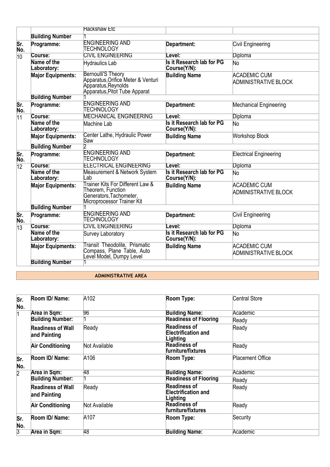|                 |                            | <b>Hackshaw Etc</b>                                                                                                    |                                           |                                             |
|-----------------|----------------------------|------------------------------------------------------------------------------------------------------------------------|-------------------------------------------|---------------------------------------------|
|                 | <b>Building Number</b>     |                                                                                                                        |                                           |                                             |
| Sr.<br>No.      | Programme:                 | <b>ENGINEERING AND</b><br>TECHNOLOGY                                                                                   | Department:<br>_evel:                     | Civil Engineering                           |
| 10              | Course:                    | <b>CIVIL ENGINEERING</b>                                                                                               |                                           | Diploma                                     |
|                 | Name of the<br>Laboratory: | Hydraulics Lab                                                                                                         | Is it Research lab for PG<br>Course(Y/N): | No                                          |
|                 | <b>Major Equipments:</b>   | Bernoulli'S Theory<br>Apparatus, Orifice Meter & Venturi<br>Apparatus, Reynolds<br>Apparatus, Pitot Tube Apparat       | <b>Building Name</b>                      | <b>ACADEMIC CUM</b><br>ADMINISTRATIVE BLOCK |
|                 | <b>Building Number</b>     |                                                                                                                        |                                           |                                             |
| Sr.<br>No.      | Programme:                 | <b>ENGINEERING AND</b><br>TECHNOLOGY                                                                                   | Department:                               | <b>Mechanical Engineering</b>               |
| $\overline{11}$ | Course:                    | <b>MECHANICAL ENGINEERING</b>                                                                                          | Level:                                    | Diploma                                     |
|                 | Name of the<br>Laboratory: | Machine Lab                                                                                                            | Is it Research lab for PG<br>Course(Y/N): | No                                          |
|                 | <b>Major Equipments:</b>   | Center Lathe, Hydraulic Power<br>Saw                                                                                   | <b>Building Name</b>                      | <b>Workshop Block</b>                       |
|                 | <b>Building Number</b>     |                                                                                                                        |                                           |                                             |
| Sr.<br>No.      | Programme:                 | <b>ENGINEERING AND</b><br>TECHNOLOGY                                                                                   | Department:                               | Electrical Engineering                      |
| $\overline{12}$ | Course:                    | <b>ELECTRICAL ENGINEERING</b>                                                                                          | Level:                                    | Diploma                                     |
|                 | Name of the<br>Laboratory: | <b>Measurement &amp; Network System</b><br>Lab                                                                         | Is it Research lab for PG<br>Course(Y/N): | No                                          |
|                 | <b>Major Equipments:</b>   | Trainer Kits For Different Law &<br>Theorem, Function<br>Generators, Tachometer,<br>Microprocessor Trainer Kit         | <b>Building Name</b>                      | <b>ACADEMIC CUM</b><br>ADMINISTRATIVE BLOCK |
|                 | <b>Building Number</b>     |                                                                                                                        |                                           |                                             |
| Sr.<br>No.      | Programme:                 | <b>ENGINEERING AND</b><br>TECHNOLOGY                                                                                   | Department:                               | Civil Engineering                           |
| $\overline{13}$ | Course:                    | <b>CIVIL ENGINEERING</b>                                                                                               | Level:                                    | Diploma                                     |
|                 | Name of the<br>Laboratory: | Survey Laboratory                                                                                                      | Is it Research lab for PG<br>Course(Y/N): | No                                          |
|                 | <b>Major Equipments:</b>   | <b>Transit Theodolite, Prismatic</b><br><b>Building Name</b><br>Compass, Plane Table, Auto<br>Level Model, Dumpy Level |                                           | <b>ACADEMIC CUM</b><br>ADMINISTRATIVE BLOCK |
|                 | <b>Building Number</b>     |                                                                                                                        |                                           |                                             |

#### **ADMINISTRATIVE AREA**

| lSr.<br>No.    | Room ID/ Name:                           | A102          | Room Type:                                                    | <b>Central Store</b>    |
|----------------|------------------------------------------|---------------|---------------------------------------------------------------|-------------------------|
|                | Area in Sqm:                             | 96            | <b>Building Name:</b>                                         | Academic                |
|                | <b>Building Number:</b>                  |               | <b>Readiness of Flooring</b>                                  | Ready                   |
|                | <b>Readiness of Wall</b><br>and Painting | Ready         | <b>Readiness of</b><br><b>Electrification and</b><br>Lighting | Ready                   |
|                | <b>Air Conditioning</b>                  | Not Available | <b>Readiness of</b><br>furniture/fixtures                     | Ready                   |
| Sr.<br>No.     | Room ID/ Name:                           | A106          | Room Type:                                                    | <b>Placement Office</b> |
| $\overline{2}$ | Area in Sqm:                             | 48            | <b>Building Name:</b>                                         | Academic                |
|                | <b>Building Number:</b>                  |               | <b>Readiness of Flooring</b>                                  | Ready                   |
|                | <b>Readiness of Wall</b><br>and Painting | Ready         | <b>Readiness of</b><br><b>Electrification and</b><br>Lighting | Ready                   |
|                | <b>Air Conditioning</b>                  | Not Available | <b>Readiness of</b><br>furniture/fixtures                     | Ready                   |
| Sr.<br>No.     | Room ID/ Name:                           | A107          | Room Type:                                                    | Security                |
| 3              | Area in Sqm:                             | 48            | <b>Building Name:</b>                                         | Academic                |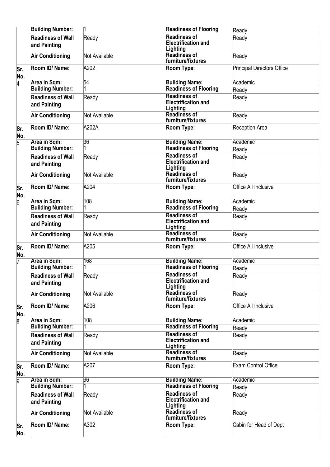|                | <b>Building Number:</b>                  |               | <b>Readiness of Flooring</b>                                  | Ready                             |
|----------------|------------------------------------------|---------------|---------------------------------------------------------------|-----------------------------------|
|                | <b>Readiness of Wall</b><br>and Painting | Ready         | <b>Readiness of</b><br><b>Electrification and</b><br>Lighting | Ready                             |
|                | <b>Air Conditioning</b>                  | Not Available | <b>Readiness of</b><br>furniture/fixtures                     | Ready                             |
| Sr.<br>No.     | Room ID/ Name:                           | A202          | Room Type:                                                    | <b>Principal Directors Office</b> |
| $\overline{4}$ | Area in Sqm:                             | 54            | <b>Building Name:</b>                                         | Academic                          |
|                | <b>Building Number:</b>                  |               | <b>Readiness of Flooring</b>                                  | Ready                             |
|                | <b>Readiness of Wall</b><br>and Painting | Ready         | <b>Readiness of</b><br><b>Electrification and</b><br>Lighting | Ready                             |
|                | <b>Air Conditioning</b>                  | Not Available | <b>Readiness of</b><br>furniture/fixtures                     | Ready                             |
| Sr.<br>No.     | Room ID/ Name:                           | A202A         | Room Type:                                                    | <b>Reception Area</b>             |
| $\overline{5}$ | Area in Sqm:                             | 36            | <b>Building Name:</b>                                         | Academic                          |
|                | <b>Building Number:</b>                  |               | <b>Readiness of Flooring</b>                                  | Ready                             |
|                | <b>Readiness of Wall</b><br>and Painting | Ready         | <b>Readiness of</b><br><b>Electrification and</b><br>Lighting | Ready                             |
|                | <b>Air Conditioning</b>                  | Not Available | Readiness of<br>furniture/fixtures                            | Ready                             |
| Sr.<br>No.     | Room ID/ Name:                           | A204          | Room Type:                                                    | <b>Office All Inclusive</b>       |
| $\overline{6}$ | Area in Sqm:                             | 108           | <b>Building Name:</b>                                         | Academic                          |
|                | <b>Building Number:</b>                  |               | <b>Readiness of Flooring</b>                                  | Ready                             |
|                | <b>Readiness of Wall</b><br>and Painting | Ready         | <b>Readiness of</b><br><b>Electrification and</b><br>Lighting | Ready                             |
|                | <b>Air Conditioning</b>                  | Not Available | <b>Readiness of</b><br>furniture/fixtures                     | Ready                             |
| Sr.<br>No.     | Room ID/ Name:                           | A205          | Room Type:                                                    | Office All Inclusive              |
| 7              | <b>Area in Sqm:</b>                      | 168           | <b>Building Name:</b>                                         | Academic                          |
|                | <b>Building Number:</b>                  |               | <b>Readiness of Flooring</b>                                  | Ready                             |
|                | <b>Readiness of Wall</b><br>and Painting | Ready         | <b>Readiness of</b><br><b>Electrification and</b><br>Lighting | Ready                             |
|                | <b>Air Conditioning</b>                  | Not Available | <b>Readiness of</b><br>furniture/fixtures                     | Ready                             |
| Sr.<br>No.     | Room ID/ Name:                           | A206          | Room Type:                                                    | Office All Inclusive              |
| 8              | Area in Sqm:                             | 108           | <b>Building Name:</b>                                         | Academic                          |
|                | <b>Building Number:</b>                  |               | <b>Readiness of Flooring</b>                                  | Ready                             |
|                | <b>Readiness of Wall</b><br>and Painting | Ready         | <b>Readiness of</b><br>Electrification and<br>Lighting        | Ready                             |
|                | <b>Air Conditioning</b>                  | Not Available | <b>Readiness of</b><br>furniture/fixtures                     | Ready                             |
| Sr.<br>No.     | Room ID/ Name:                           | A207          | Room Type:                                                    | <b>Exam Control Office</b>        |
| g              | Area in Sqm:<br><b>Building Number:</b>  | 96            | <b>Building Name:</b><br><b>Readiness of Flooring</b>         | Academic                          |
|                |                                          |               | <b>Readiness of</b>                                           | Ready                             |
|                | <b>Readiness of Wall</b><br>and Painting | Ready         | <b>Electrification and</b><br>Lighting                        | Ready                             |
|                | <b>Air Conditioning</b>                  | Not Available | <b>Readiness of</b><br>furniture/fixtures                     | Ready                             |
| Sr.<br>No.     | Room ID/ Name:                           | A302          | Room Type:                                                    | Cabin for Head of Dept            |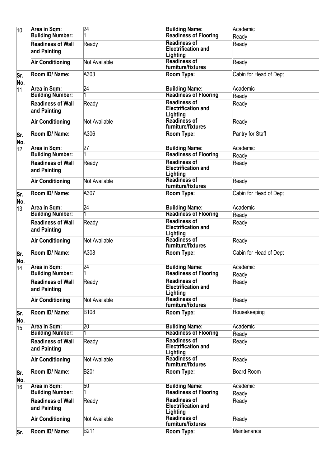| $\overline{10}$ | <b>Area in Sqm:</b>                      | $\overline{24}$ | <b>Building Name:</b>                                         | Academic               |
|-----------------|------------------------------------------|-----------------|---------------------------------------------------------------|------------------------|
|                 | <b>Building Number:</b>                  |                 | <b>Readiness of Flooring</b>                                  | Ready                  |
|                 | <b>Readiness of Wall</b><br>and Painting | Ready           | <b>Readiness of</b><br><b>Electrification and</b><br>Lighting | Ready                  |
|                 | <b>Air Conditioning</b>                  | Not Available   | <b>Readiness of</b><br>furniture/fixtures                     | Ready                  |
| lSr.<br>No.     | Room ID/ Name:                           | A303            | Room Type:                                                    | Cabin for Head of Dept |
| $\overline{11}$ | Area in Sqm:                             | 24              | <b>Building Name:</b>                                         | Academic               |
|                 | <b>Building Number:</b>                  |                 | <b>Readiness of Flooring</b>                                  | Ready                  |
|                 | <b>Readiness of Wall</b><br>and Painting | Ready           | <b>Readiness of</b><br><b>Electrification and</b><br>Lighting | Ready                  |
|                 | <b>Air Conditioning</b>                  | Not Available   | <b>Readiness of</b><br>furniture/fixtures                     | Ready                  |
| Sr.<br>No.      | Room ID/ Name:                           | A306            | Room Type:                                                    | Pantry for Staff       |
| $\overline{12}$ | Area in Sqm:                             | 27              | <b>Building Name:</b>                                         | Academic               |
|                 | <b>Building Number:</b>                  |                 | <b>Readiness of Flooring</b>                                  | Ready                  |
|                 | <b>Readiness of Wall</b><br>and Painting | Ready           | <b>Readiness of</b><br><b>Electrification and</b><br>Lighting | Ready                  |
|                 | <b>Air Conditioning</b>                  | Not Available   | <b>Readiness of</b><br>furniture/fixtures                     | Ready                  |
| Sr.<br>No.      | Room ID/ Name:                           | A307            | Room Type:                                                    | Cabin for Head of Dept |
| $\overline{13}$ | Area in Sqm:                             | 24              | <b>Building Name:</b>                                         | Academic               |
|                 | <b>Building Number:</b>                  |                 | <b>Readiness of Flooring</b>                                  | Ready                  |
|                 | <b>Readiness of Wall</b><br>and Painting | Ready           | <b>Readiness of</b><br><b>Electrification and</b><br>Lighting | Ready                  |
|                 | <b>Air Conditioning</b>                  | Not Available   | <b>Readiness of</b><br>furniture/fixtures                     | Ready                  |
| Sr.<br>No.      | Room ID/ Name:                           | A308            | Room Type:                                                    | Cabin for Head of Dept |
| 14              | Area in Sqm:                             | 24              | <b>Building Name:</b>                                         | Academic               |
|                 | <b>Building Number:</b>                  |                 | <b>Readiness of Flooring</b>                                  | Ready                  |
|                 | <b>Readiness of Wall</b><br>and Painting | Ready           | <b>Readiness of</b><br><b>Electrification and</b><br>Lighting | Ready                  |
|                 | <b>Air Conditioning</b>                  | Not Available   | Readiness of<br>furniture/fixtures                            | Ready                  |
| Sr.<br>No.      | Room ID/ Name:                           | <b>B108</b>     | Room Type:                                                    | Housekeeping           |
| 15              | Area in Sqm:                             | 20              | <b>Building Name:</b>                                         | Academic               |
|                 | <b>Building Number:</b>                  |                 | <b>Readiness of Flooring</b>                                  | Ready                  |
|                 | <b>Readiness of Wall</b><br>and Painting | Ready           | <b>Readiness of</b><br><b>Electrification and</b><br>Lighting | Ready                  |
|                 | <b>Air Conditioning</b>                  | Not Available   | <b>Readiness of</b><br>furniture/fixtures                     | Ready                  |
| Sr.<br>No.      | Room ID/ Name:                           | <b>B201</b>     | Room Type:                                                    | Board Room             |
| 16              | Area in Sqm:                             | 50              | <b>Building Name:</b>                                         | Academic               |
|                 | <b>Building Number:</b>                  |                 | <b>Readiness of Flooring</b>                                  | Ready                  |
|                 | <b>Readiness of Wall</b><br>and Painting | Ready           | <b>Readiness of</b><br><b>Electrification and</b><br>Lighting | Ready                  |
|                 | <b>Air Conditioning</b>                  | Not Available   | <b>Readiness of</b><br>furniture/fixtures                     | Ready                  |
| Sr.             | Room ID/ Name:                           | B211            | Room Type:                                                    | Maintenance            |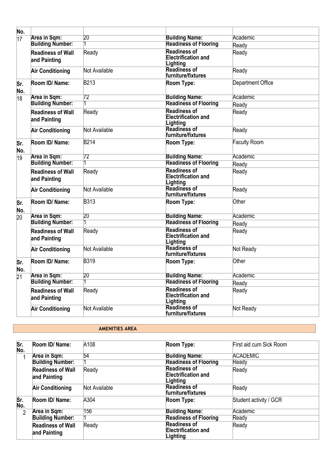| No.             |                                          |                 |                                                               |                     |
|-----------------|------------------------------------------|-----------------|---------------------------------------------------------------|---------------------|
| $\overline{17}$ | Area in Sqm:                             | 20 <sup>2</sup> | <b>Building Name:</b>                                         | Academic            |
|                 | <b>Building Number:</b>                  |                 | <b>Readiness of Flooring</b>                                  | Ready               |
|                 | <b>Readiness of Wall</b><br>and Painting | Ready           | <b>Readiness of</b><br><b>Electrification and</b><br>Lighting | Ready               |
|                 | <b>Air Conditioning</b>                  | Not Available   | <b>Readiness of</b><br>furniture/fixtures                     | Ready               |
| Sr.<br>No.      | Room ID/ Name:                           | <b>B213</b>     | Room Type:                                                    | Department Office   |
| $\overline{18}$ | Area in Sqm:                             | 72              | <b>Building Name:</b>                                         | Academic            |
|                 | <b>Building Number:</b>                  |                 | <b>Readiness of Flooring</b>                                  | Ready               |
|                 | <b>Readiness of Wall</b><br>and Painting | Ready           | <b>Readiness of</b><br><b>Electrification and</b><br>Lighting | Ready               |
|                 | <b>Air Conditioning</b>                  | Not Available   | <b>Readiness of</b><br>furniture/fixtures                     | Ready               |
| Sr.<br>No.      | Room ID/ Name:                           | <b>B214</b>     | Room Type:                                                    | <b>Faculty Room</b> |
| 19              | <b>Area in Sqm:</b>                      | 72              | <b>Building Name:</b>                                         | Academic            |
|                 | <b>Building Number:</b>                  |                 | <b>Readiness of Flooring</b>                                  | Ready               |
|                 | <b>Readiness of Wall</b><br>and Painting | Ready           | <b>Readiness of</b><br>Electrification and<br>Lighting        | Ready               |
|                 | <b>Air Conditioning</b>                  | Not Available   | <b>Readiness of</b><br>furniture/fixtures                     | Ready               |
| Sr.<br>No.      | Room ID/ Name:                           | <b>B313</b>     | Room Type:                                                    | Other               |
| 20              | Area in Sqm:                             | 20              | <b>Building Name:</b>                                         | Academic            |
|                 | <b>Building Number:</b>                  |                 | <b>Readiness of Flooring</b>                                  | Ready               |
|                 | <b>Readiness of Wall</b><br>and Painting | Ready           | <b>Readiness of</b><br><b>Electrification and</b><br>Lighting | Ready               |
|                 | <b>Air Conditioning</b>                  | Not Available   | Readiness of<br>furniture/fixtures                            | Not Ready           |
| Sr.<br>No.      | Room ID/ Name:                           | <b>B319</b>     | Room Type:                                                    | Other               |
| 21              | Area in Sqm:                             | 20              | <b>Building Name:</b>                                         | Academic            |
|                 | <b>Building Number:</b>                  |                 | <b>Readiness of Flooring</b>                                  | Ready               |
|                 | <b>Readiness of Wall</b><br>and Painting | Ready           | <b>Readiness of</b><br><b>Electrification and</b><br>Lighting | Ready               |
|                 | <b>Air Conditioning</b>                  | Not Available   | <b>Readiness of</b><br>furniture/fixtures                     | Not Ready           |

#### **AMENITIES AREA**

| Sr.<br>No.     | Room ID/ Name:                           | A108          | Room Type:                                                    | First aid cum Sick Room |
|----------------|------------------------------------------|---------------|---------------------------------------------------------------|-------------------------|
| 1              | Area in Sqm:                             | 54            | <b>Building Name:</b>                                         | <b>ACADEMIC</b>         |
|                | <b>Building Number:</b>                  |               | <b>Readiness of Flooring</b>                                  | Ready                   |
|                | <b>Readiness of Wall</b><br>and Painting | Ready         | <b>Readiness of</b><br><b>Electrification and</b><br>Lighting | Ready                   |
|                | <b>Air Conditioning</b>                  | Not Available | <b>Readiness of</b><br><b>furniture/fixtures</b>              | Ready                   |
| Sr.<br>No.     | Room ID/ Name:                           | A304          | Room Type:                                                    | Student activity / GCR  |
| $\overline{2}$ | Area in Sqm:                             | 156           | <b>Building Name:</b>                                         | Academic                |
|                | <b>Building Number:</b>                  |               | <b>Readiness of Flooring</b>                                  | Ready                   |
|                | <b>Readiness of Wall</b><br>and Painting | Ready         | <b>Readiness of</b><br><b>Electrification and</b><br>Lighting | Ready                   |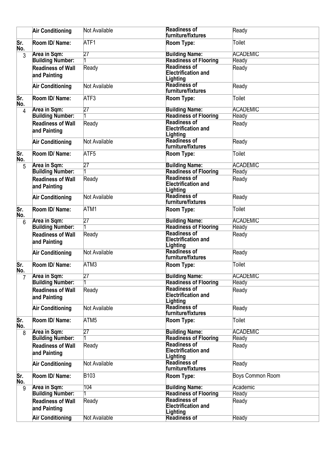|            | <b>Air Conditioning</b>                  | Not Available | <b>Readiness of</b><br>furniture/fixtures                     | Ready            |
|------------|------------------------------------------|---------------|---------------------------------------------------------------|------------------|
| Sr.<br>No. | Room ID/ Name:                           | ATF1          | Room Type:                                                    | Toilet           |
| 3          | Area in Sqm:                             | 27            | <b>Building Name:</b>                                         | <b>ACADEMIC</b>  |
|            | <b>Building Number:</b>                  |               | <b>Readiness of Flooring</b>                                  | Ready            |
|            | <b>Readiness of Wall</b><br>and Painting | Ready         | <b>Readiness of</b><br><b>Electrification and</b><br>Lighting | Ready            |
|            | <b>Air Conditioning</b>                  | Not Available | <b>Readiness of</b><br>furniture/fixtures                     | Ready            |
| Sr.<br>No. | Room ID/ Name:                           | ATF3          | Room Type:                                                    | <b>Toilet</b>    |
| 4          | Area in Sqm:                             | 27            | <b>Building Name:</b>                                         | <b>ACADEMIC</b>  |
|            | <b>Building Number:</b>                  |               | <b>Readiness of Flooring</b>                                  | Ready            |
|            | <b>Readiness of Wall</b><br>and Painting | Ready         | <b>Readiness of</b><br><b>Electrification and</b><br>Lighting | Ready            |
|            | <b>Air Conditioning</b>                  | Not Available | <b>Readiness of</b><br>furniture/fixtures                     | Ready            |
| Sr.<br>No. | Room ID/ Name:                           | ATF5          | Room Type:                                                    | Toilet           |
| 5          | Area in Sqm:                             | 27            | <b>Building Name:</b>                                         | <b>ACADEMIC</b>  |
|            | <b>Building Number:</b>                  |               | <b>Readiness of Flooring</b>                                  | Ready            |
|            | <b>Readiness of Wall</b><br>and Painting | Ready         | <b>Readiness of</b><br><b>Electrification and</b><br>Lighting | Ready            |
|            | <b>Air Conditioning</b>                  | Not Available | <b>Readiness of</b><br>furniture/fixtures                     | Ready            |
| Sr.<br>No. | Room ID/ Name:                           | ATM1          | Room Type:                                                    | Toilet           |
| 6          | Area in Sqm:                             | 27            | <b>Building Name:</b>                                         | <b>ACADEMIC</b>  |
|            | <b>Building Number:</b>                  |               | <b>Readiness of Flooring</b>                                  | Ready            |
|            | <b>Readiness of Wall</b><br>and Painting | Ready         | <b>Readiness of</b><br><b>Electrification and</b><br>Lighting | Ready            |
|            | <b>Air Conditioning</b>                  | Not Available | <b>Readiness of</b><br>furniture/fixtures                     | Ready            |
| Sr.<br>No. | Room ID/ Name:                           | ATM3          | Room Type:                                                    | Toilet           |
|            | <b>Area in Sqm:</b>                      | 27            | <b>Building Name:</b>                                         | <b>ACADEMIC</b>  |
|            | <b>Building Number:</b>                  |               | <b>Readiness of Flooring</b>                                  | Ready            |
|            | <b>Readiness of Wall</b><br>and Painting | Ready         | <b>Readiness of</b><br><b>Electrification and</b><br>Lighting | Ready            |
|            | <b>Air Conditioning</b>                  | Not Available | <b>Readiness of</b><br>furniture/fixtures                     | Ready            |
| Sr.<br>No. | Room ID/ Name:                           | ATM5          | Room Type:                                                    | Toilet           |
| 8          | Area in Sqm:                             | 27            | <b>Building Name:</b>                                         | <b>ACADEMIC</b>  |
|            | <b>Building Number:</b>                  |               | <b>Readiness of Flooring</b>                                  | Ready            |
|            | <b>Readiness of Wall</b><br>and Painting | Ready         | <b>Readiness of</b><br><b>Electrification and</b><br>Lighting | Ready            |
|            | <b>Air Conditioning</b>                  | Not Available | <b>Readiness of</b><br>furniture/fixtures                     | Ready            |
| Sr.<br>No. | Room ID/ Name:                           | B103          | Room Type:                                                    | Boys Common Room |
| 9          | Area in Sqm:                             | 104           | <b>Building Name:</b>                                         | Academic         |
|            | <b>Building Number:</b>                  |               | <b>Readiness of Flooring</b>                                  | Ready            |
|            | <b>Readiness of Wall</b><br>and Painting | Ready         | <b>Readiness of</b><br><b>Electrification and</b><br>Lighting | Ready            |
|            | <b>Air Conditioning</b>                  | Not Available | <b>Readiness of</b>                                           | Ready            |
|            |                                          |               |                                                               |                  |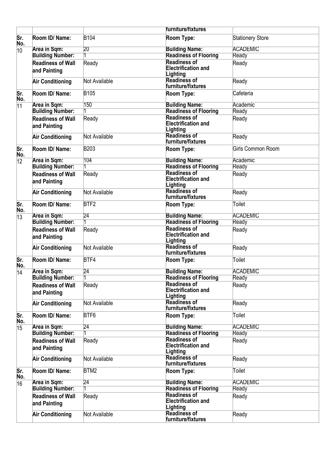|                 |                                          |                  | <b>furniture/fixtures</b>                                     |                         |
|-----------------|------------------------------------------|------------------|---------------------------------------------------------------|-------------------------|
| Sr.<br>No.      | Room ID/ Name:                           | <b>B104</b>      | Room Type:                                                    | <b>Stationery Store</b> |
| 10              | Area in Sqm:                             | 20               | <b>Building Name:</b>                                         | <b>ACADEMIC</b>         |
|                 | <b>Building Number:</b>                  |                  | <b>Readiness of Flooring</b>                                  | Ready                   |
|                 | <b>Readiness of Wall</b><br>and Painting | Ready            | <b>Readiness of</b><br><b>Electrification and</b><br>Lighting | Ready                   |
|                 | <b>Air Conditioning</b>                  | Not Available    | <b>Readiness of</b><br>furniture/fixtures                     | Ready                   |
| Sr.<br>No.      | Room ID/ Name:                           | <b>B105</b>      | Room Type:                                                    | Cafeteria               |
| 11              | Area in Sqm:                             | 150              | <b>Building Name:</b>                                         | Academic                |
|                 | <b>Building Number:</b>                  |                  | <b>Readiness of Flooring</b>                                  | Ready                   |
|                 | <b>Readiness of Wall</b><br>and Painting | Ready            | <b>Readiness of</b><br><b>Electrification and</b><br>Lighting | Ready                   |
|                 | <b>Air Conditioning</b>                  | Not Available    | <b>Readiness of</b><br>furniture/fixtures                     | Ready                   |
| Sr.<br>No.      | Room ID/ Name:                           | <b>B203</b>      | Room Type:                                                    | Girls Common Room       |
| $ 12\rangle$    | <b>Area in Sqm:</b>                      | 104              | <b>Building Name:</b>                                         | Academic                |
|                 | <b>Building Number:</b>                  |                  | <b>Readiness of Flooring</b>                                  | Ready                   |
|                 | <b>Readiness of Wall</b><br>and Painting | Ready            | <b>Readiness of</b><br><b>Electrification and</b><br>Lighting | Ready                   |
|                 | <b>Air Conditioning</b>                  | Not Available    | <b>Readiness of</b><br>furniture/fixtures                     | Ready                   |
| lSr.<br>No.     | Room ID/ Name:                           | BTF <sub>2</sub> | Room Type:                                                    | <b>Toilet</b>           |
| 13              | <b>Area in Sqm:</b>                      | $\overline{24}$  | <b>Building Name:</b>                                         | <b>ACADEMIC</b>         |
|                 | <b>Building Number:</b>                  |                  | <b>Readiness of Flooring</b>                                  | Ready                   |
|                 | <b>Readiness of Wall</b><br>and Painting | Ready            | <b>Readiness of</b><br><b>Electrification and</b><br>Lighting | Ready                   |
|                 | <b>Air Conditioning</b>                  | Not Available    | <b>Readiness of</b><br>furniture/fixtures                     | Ready                   |
| Sr.<br>No.      | Room ID/ Name:                           | BTF4             | Room Type:                                                    | <b>Toilet</b>           |
| $\overline{14}$ | <b>Area in Sqm:</b>                      | 24               | <b>Building Name:</b>                                         | <b>ACADEMIC</b>         |
|                 | <b>Building Number:</b>                  |                  | <b>Readiness of Flooring</b>                                  | Ready                   |
|                 | <b>Readiness of Wall</b><br>and Painting | Ready            | <b>Readiness of</b><br>Electrification and<br>Lighting        | Ready                   |
|                 | <b>Air Conditioning</b>                  | Not Available    | <b>Readiness of</b><br>furniture/fixtures                     | Ready                   |
| Sr.<br>No.      | Room ID/ Name:                           | BTF6             | Room Type:                                                    | <b>Toilet</b>           |
| 15              | Area in Sqm:                             | 24               | <b>Building Name:</b>                                         | <b>ACADEMIC</b>         |
|                 | <b>Building Number:</b>                  |                  | <b>Readiness of Flooring</b>                                  | Ready                   |
|                 | <b>Readiness of Wall</b><br>and Painting | Ready            | <b>Readiness of</b><br><b>Electrification and</b><br>Lighting | Ready                   |
|                 | <b>Air Conditioning</b>                  | Not Available    | <b>Readiness of</b><br>furniture/fixtures                     | Ready                   |
| Sr.<br>No.      | Room ID/ Name:                           | BTM2             | Room Type:                                                    | Toilet                  |
| 16              | <b>Area in Sqm:</b>                      | $\overline{24}$  | <b>Building Name:</b>                                         | <b>ACADEMIC</b>         |
|                 | <b>Building Number:</b>                  |                  | <b>Readiness of Flooring</b>                                  | Ready                   |
|                 | <b>Readiness of Wall</b><br>and Painting | Ready            | <b>Readiness of</b><br><b>Electrification and</b><br>Lighting | Ready                   |
|                 | <b>Air Conditioning</b>                  | Not Available    | <b>Readiness of</b><br>furniture/fixtures                     | Ready                   |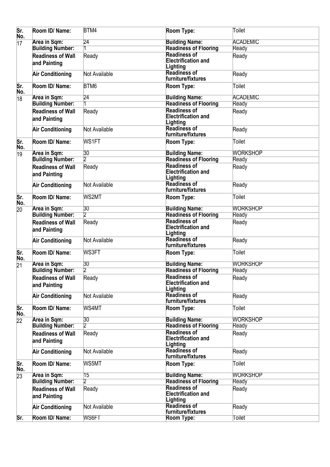| Sr.<br>No.      | Room ID/ Name:                           | BTM4            | Room Type:                                                    | <b>Toilet</b>   |
|-----------------|------------------------------------------|-----------------|---------------------------------------------------------------|-----------------|
| $\overline{17}$ | Area in Sqm:                             | 24              | <b>Building Name:</b>                                         | <b>ACADEMIC</b> |
|                 | <b>Building Number:</b>                  |                 | <b>Readiness of Flooring</b>                                  | Ready           |
|                 | <b>Readiness of Wall</b>                 | Ready           | <b>Readiness of</b>                                           | Ready           |
|                 | and Painting                             |                 | <b>Electrification and</b><br>Lighting                        |                 |
|                 | <b>Air Conditioning</b>                  | Not Available   | <b>Readiness of</b><br>furniture/fixtures                     | Ready           |
| Sr.<br>No.      | Room ID/ Name:                           | BTM6            | Room Type:                                                    | Toilet          |
| 18              | Area in Sqm:                             | $\overline{24}$ | <b>Building Name:</b>                                         | <b>ACADEMIC</b> |
|                 | <b>Building Number:</b>                  |                 | <b>Readiness of Flooring</b>                                  | Ready           |
|                 | <b>Readiness of Wall</b><br>and Painting | Ready           | <b>Readiness of</b><br><b>Electrification and</b>             | Ready           |
|                 |                                          |                 | Lighting                                                      |                 |
|                 | <b>Air Conditioning</b>                  | Not Available   | <b>Readiness of</b><br>furniture/fixtures                     | Ready           |
| Sr.<br>No.      | Room ID/ Name:                           | WS1FT           | Room Type:                                                    | Toilet          |
| 19              | <b>Area in Sqm:</b>                      | 30              | <b>Building Name:</b>                                         | <b>WORKSHOP</b> |
|                 | <b>Building Number:</b>                  | $\overline{2}$  | <b>Readiness of Flooring</b>                                  | Ready           |
|                 | <b>Readiness of Wall</b><br>and Painting | Ready           | <b>Readiness of</b><br><b>Electrification and</b><br>Lighting | Ready           |
|                 | <b>Air Conditioning</b>                  | Not Available   | <b>Readiness of</b><br>furniture/fixtures                     | Ready           |
| Sr.<br>No.      | Room ID/ Name:                           | WS2MT           | Room Type:                                                    | Toilet          |
| 20              | Area in Sqm:                             | 30              | <b>Building Name:</b>                                         | <b>WORKSHOP</b> |
|                 | <b>Building Number:</b>                  | 12              | <b>Readiness of Flooring</b>                                  | Ready           |
|                 | <b>Readiness of Wall</b>                 | Ready           | <b>Readiness of</b>                                           | Ready           |
|                 | and Painting                             |                 | <b>Electrification and</b><br>Lighting                        |                 |
|                 | <b>Air Conditioning</b>                  | Not Available   | Readiness of<br>furniture/fixtures                            | Ready           |
| Sr.<br>No.      | Room ID/ Name:                           | WS3FT           | Room Type:                                                    | <b>Toilet</b>   |
| 21              | <b>Area in Sqm:</b>                      | 30              | <b>Building Name:</b>                                         | <b>WORKSHOP</b> |
|                 | <b>Building Number:</b>                  | $\overline{2}$  | <b>Readiness of Flooring</b>                                  | Ready           |
|                 | <b>Readiness of Wall</b><br>and Painting | Ready           | <b>Readiness of</b><br><b>Electrification and</b><br>Lighting | Ready           |
|                 | <b>Air Conditioning</b>                  | Not Available   | <b>Readiness of</b><br>furniture/fixtures                     | Ready           |
| Sr.<br>No.      | Room ID/ Name:                           | WS4MT           | Room Type:                                                    | <b>Toilet</b>   |
| 22              | <b>Area in Sqm:</b>                      | 30              | <b>Building Name:</b>                                         | <b>WORKSHOP</b> |
|                 | <b>Building Number:</b>                  | 2               | <b>Readiness of Flooring</b>                                  | Ready           |
|                 | <b>Readiness of Wall</b><br>and Painting | Ready           | <b>Readiness of</b><br><b>Electrification and</b><br>Lighting | Ready           |
|                 | <b>Air Conditioning</b>                  | Not Available   | <b>Readiness of</b><br>furniture/fixtures                     | Ready           |
| Sr.<br>No.      | Room ID/ Name:                           | WS5MT           | Room Type:                                                    | <b>Toilet</b>   |
| 23              | Area in Sqm:                             | $\overline{15}$ | <b>Building Name:</b>                                         | <b>WORKSHOP</b> |
|                 | <b>Building Number:</b>                  | 2               | <b>Readiness of Flooring</b>                                  | Ready           |
|                 | <b>Readiness of Wall</b>                 | Ready           | <b>Readiness of</b>                                           | Ready           |
|                 | and Painting                             |                 | <b>Electrification and</b><br>Lighting                        |                 |
|                 | <b>Air Conditioning</b>                  | Not Available   | <b>Readiness of</b><br>furniture/fixtures                     | Ready           |
| Sr.             | Room ID/ Name:                           | WS6FT           | <b>Room Type:</b>                                             | Toilet          |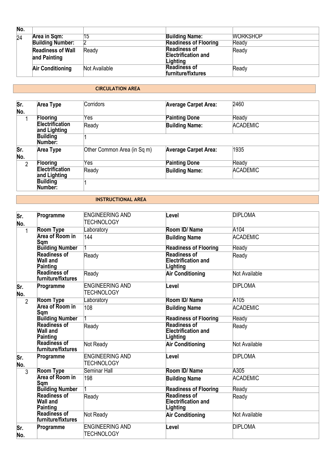| No. |                                          |               |                                                               |                 |
|-----|------------------------------------------|---------------|---------------------------------------------------------------|-----------------|
| 24  | Area in Sqm:                             | 15            | <b>Building Name:</b>                                         | <b>WORKSHOP</b> |
|     | <b>Building Number:</b>                  |               | <b>Readiness of Flooring</b>                                  | Ready           |
|     | <b>Readiness of Wall</b><br>and Painting | Ready         | <b>Readiness of</b><br><b>Electrification and</b><br>Lighting | Ready           |
|     | <b>Air Conditioning</b>                  | Not Available | <b>Readiness of</b><br><b>furniture/fixtures</b>              | Ready           |

## **CIRCULATION AREA**

| Sr.<br>No.     | Area Type                              | Corridors                   | <b>Average Carpet Area:</b> | 2460            |
|----------------|----------------------------------------|-----------------------------|-----------------------------|-----------------|
| 1              | <b>Flooring</b>                        | Yes                         | <b>Painting Done</b>        | Ready           |
|                | <b>Electrification</b><br>and Lighting | Ready                       | <b>Building Name:</b>       | <b>ACADEMIC</b> |
|                | <b>Building</b><br>Number:             |                             |                             |                 |
| Sr.<br>No.     | <b>Area Type</b>                       | Other Common Area (in Sq m) | <b>Average Carpet Area:</b> | 1935            |
| $\overline{2}$ | Flooring                               | Yes                         | <b>Painting Done</b>        | Ready           |
|                | <b>Electrification</b><br>and Lighting | Ready                       | <b>Building Name:</b>       | <b>ACADEMIC</b> |
|                | <b>Building</b><br>Number:             |                             |                             |                 |

#### **INSTRUCTIONAL AREA**

| Sr.<br>No.     | Programme                                          | <b>ENGINEERING AND</b><br><b>TECHNOLOGY</b> | Level                                                         | <b>DIPLOMA</b>       |
|----------------|----------------------------------------------------|---------------------------------------------|---------------------------------------------------------------|----------------------|
| $\mathbf{1}$   | <b>Room Type</b>                                   | Laboratory                                  | Room ID/Name                                                  | A104                 |
|                | <b>Area of Room in</b><br>Sqm                      | 144                                         | <b>Building Name</b>                                          | <b>ACADEMIC</b>      |
|                | <b>Building Number</b>                             |                                             | <b>Readiness of Flooring</b>                                  | Ready                |
|                | <b>Readiness of</b><br>Wall and<br>Painting        | Ready                                       | <b>Readiness of</b><br><b>Electrification and</b><br>Lighting | Ready                |
|                | Readiness of<br>furniture/fixtures                 | Ready                                       | <b>Air Conditioning</b>                                       | Not Available        |
| Sr.<br>No.     | Programme                                          | <b>ENGINEERING AND</b><br><b>TECHNOLOGY</b> | Level                                                         | <b>DIPLOMA</b>       |
| $\overline{2}$ | <b>Room Type</b>                                   | Laboratory                                  | Room ID/Name                                                  | A105                 |
|                | <b>Area of Room in</b><br>Sqm                      | 108                                         | <b>Building Name</b>                                          | <b>ACADEMIC</b>      |
|                | <b>Building Number</b>                             |                                             | <b>Readiness of Flooring</b>                                  | Ready                |
|                | <b>Readiness of</b><br><b>Wall and</b><br>Painting | Ready                                       | <b>Readiness of</b><br><b>Electrification and</b><br>Lighting | Ready                |
|                | <b>Readiness of</b><br>furniture/fixtures          | Not Ready                                   | <b>Air Conditioning</b>                                       | <b>Not Available</b> |
| Sr.<br>No.     | Programme                                          | <b>ENGINEERING AND</b><br><b>TECHNOLOGY</b> | Level                                                         | <b>DIPLOMA</b>       |
| 3              | <b>Room Type</b>                                   | Seminar Hall                                | Room ID/Name                                                  | A305                 |
|                | <b>Area of Room in</b><br>Sqm                      | 198                                         | <b>Building Name</b>                                          | <b>ACADEMIC</b>      |
|                | <b>Building Number</b>                             |                                             | <b>Readiness of Flooring</b>                                  | Ready                |
|                | <b>Readiness of</b><br>Wall and<br>Painting        | Ready                                       | <b>Readiness of</b><br><b>Electrification and</b><br>Lighting | Ready                |
|                | <b>Readiness of</b><br>furniture/fixtures          | Not Ready                                   | <b>Air Conditioning</b>                                       | <b>Not Available</b> |
| Sr.<br>No.     | Programme                                          | <b>ENGINEERING AND</b><br><b>TECHNOLOGY</b> | ∟evel                                                         | <b>DIPLOMA</b>       |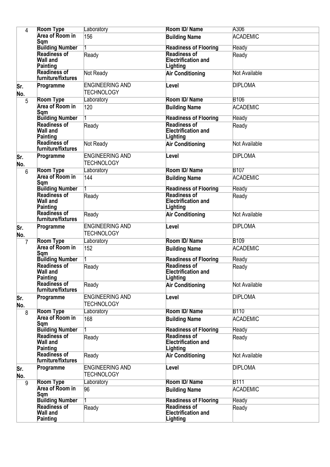| 4              | <b>Room Type</b>                                   | Laboratory                                  | Room ID/Name                                                  | A306            |
|----------------|----------------------------------------------------|---------------------------------------------|---------------------------------------------------------------|-----------------|
|                | <b>Area of Room in</b><br>Sqm                      | 156                                         | <b>Building Name</b>                                          | <b>ACADEMIC</b> |
|                | <b>Building Number</b>                             |                                             | <b>Readiness of Flooring</b>                                  | Ready           |
|                | <b>Readiness of</b><br><b>Wall and</b><br>Painting | Ready                                       | <b>Readiness of</b><br>Electrification and<br>Lighting        | Ready           |
|                | <b>Readiness of</b><br>furniture/fixtures          | Not Ready                                   | <b>Air Conditioning</b>                                       | Not Available   |
| Sr.<br>No.     | Programme                                          | <b>ENGINEERING AND</b><br><b>TECHNOLOGY</b> | Level                                                         | <b>DIPLOMA</b>  |
| 5              | <b>Room Type</b>                                   | Laboratory                                  | Room ID/Name                                                  | <b>B106</b>     |
|                | <b>Area of Room in</b><br>Sqm                      | 120                                         | <b>Building Name</b>                                          | <b>ACADEMIC</b> |
|                | <b>Building Number</b>                             |                                             | <b>Readiness of Flooring</b>                                  | Ready           |
|                | <b>Readiness of</b><br><b>Wall and</b><br>Painting | Ready                                       | <b>Readiness of</b><br><b>Electrification and</b><br>Lighting | Ready           |
|                | <b>Readiness of</b><br>furniture/fixtures          | Not Ready                                   | <b>Air Conditioning</b>                                       | Not Available   |
| Sr.<br>No.     | Programme                                          | <b>ENGINEERING AND</b><br><b>TECHNOLOGY</b> | Level                                                         | <b>DIPLOMA</b>  |
| 6              | <b>Room Type</b>                                   | Laboratory                                  | Room ID/Name                                                  | <b>B107</b>     |
|                | <b>Area of Room in</b><br>Sqm                      | 144                                         | <b>Building Name</b>                                          | <b>ACADEMIC</b> |
|                | <b>Building Number</b>                             |                                             | <b>Readiness of Flooring</b>                                  | Ready           |
|                | <b>Readiness of</b><br><b>Wall and</b><br>Painting | Ready                                       | <b>Readiness of</b><br><b>Electrification and</b><br>Lighting | Ready           |
|                | <b>Readiness of</b><br>furniture/fixtures          | Ready                                       | <b>Air Conditioning</b>                                       | Not Available   |
| lSr.<br>No.    | Programme                                          | <b>ENGINEERING AND</b><br><b>TECHNOLOGY</b> | Level                                                         | <b>DIPLOMA</b>  |
| $\overline{7}$ | <b>Room Type</b>                                   | Laboratory                                  | Room ID/Name                                                  | <b>B109</b>     |
|                | <b>Area of Room in</b><br>Sqm                      | 152                                         | <b>Building Name</b>                                          | <b>ACADEMIC</b> |
|                | <b>Building Number</b><br><b>Readiness of</b>      |                                             | <b>Readiness of Flooring</b><br><b>Readiness of</b>           | Ready           |
|                | Wall and<br>Painting                               | Ready                                       | <b>Electrification and</b><br>Lighting                        | Ready           |
|                | <b>Readiness of</b><br>furniture/fixtures          | Ready                                       | <b>Air Conditioning</b>                                       | Not Available   |
| Sr.<br>No.     | Programme                                          | <b>ENGINEERING AND</b><br>TECHNOLOGY        | Level                                                         | <b>DIPLOMA</b>  |
| 8              | <b>Room Type</b>                                   | Laboratory                                  | Room ID/Name                                                  | <b>B110</b>     |
|                | <b>Area of Room in</b><br>Sqm                      | 168                                         | <b>Building Name</b>                                          | <b>ACADEMIC</b> |
|                | <b>Building Number</b>                             |                                             | <b>Readiness of Flooring</b>                                  | Ready           |
|                | <b>Readiness of</b><br><b>Wall and</b><br>Painting | Ready                                       | <b>Readiness of</b><br><b>Electrification and</b><br>Lighting | Ready           |
|                | <b>Readiness of</b><br>furniture/fixtures          | Ready                                       | <b>Air Conditioning</b>                                       | Not Available   |
| Sr.<br>No.     | Programme                                          | <b>ENGINEERING AND</b><br><b>TECHNOLOGY</b> | Level                                                         | <b>DIPLOMA</b>  |
| 9              | <b>Room Type</b>                                   | Laboratory                                  | Room ID/Name                                                  | <b>B111</b>     |
|                | <b>Area of Room in</b><br>Sqm                      | 96                                          | <b>Building Name</b>                                          | <b>ACADEMIC</b> |
|                | <b>Building Number</b>                             |                                             | <b>Readiness of Flooring</b>                                  | Ready           |
|                | <b>Readiness of</b><br><b>Wall and</b><br>Painting | Ready                                       | <b>Readiness of</b><br><b>Electrification and</b><br>Lighting | Ready           |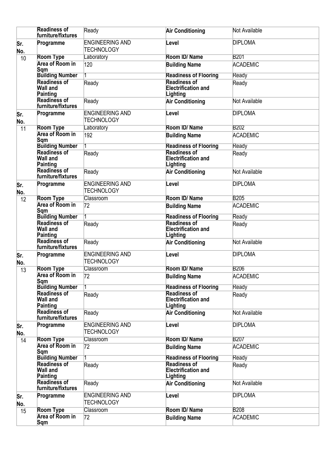|             | <b>Readiness of</b><br>furniture/fixtures          | Ready                                       | <b>Air Conditioning</b>                                       | Not Available   |
|-------------|----------------------------------------------------|---------------------------------------------|---------------------------------------------------------------|-----------------|
| Sr.<br>No.  | Programme                                          | <b>ENGINEERING AND</b><br><b>TECHNOLOGY</b> | Level                                                         | <b>DIPLOMA</b>  |
| 10          | <b>Room Type</b>                                   | Laboratory                                  | Room ID/Name                                                  | <b>B201</b>     |
|             | <b>Area of Room in</b><br>Sqm                      | 120                                         | <b>Building Name</b>                                          | <b>ACADEMIC</b> |
|             | <b>Building Number</b>                             |                                             | <b>Readiness of Flooring</b>                                  | Ready           |
|             | <b>Readiness of</b><br>Wall and<br>Painting        | Ready                                       | <b>Readiness of</b><br><b>Electrification and</b><br>Lighting | Ready           |
|             | <b>Readiness of</b><br>furniture/fixtures          | Ready                                       | <b>Air Conditioning</b>                                       | Not Available   |
| Sr.<br>No.  | Programme                                          | <b>ENGINEERING AND</b><br>TECHNOLOGY        | Level                                                         | <b>DIPLOMA</b>  |
| 11          | <b>Room Type</b>                                   | Laboratory                                  | Room ID/Name                                                  | <b>B202</b>     |
|             | <b>Area of Room in</b><br>Sqm                      | 192                                         | <b>Building Name</b>                                          | <b>ACADEMIC</b> |
|             | <b>Building Number</b>                             |                                             | <b>Readiness of Flooring</b>                                  | Ready           |
|             | <b>Readiness of</b><br><b>Wall and</b><br>Painting | Ready                                       | <b>Readiness of</b><br><b>Electrification and</b><br>Lighting | Ready           |
|             | <b>Readiness of</b><br>furniture/fixtures          | Ready                                       | <b>Air Conditioning</b>                                       | Not Available   |
| lSr.<br>No. | Programme                                          | <b>ENGINEERING AND</b><br><b>TECHNOLOGY</b> | Level                                                         | <b>DIPLOMA</b>  |
| 12          | <b>Room Type</b>                                   | Classroom                                   | Room ID/Name                                                  | <b>B205</b>     |
|             | <b>Area of Room in</b><br>Sqm                      | 72                                          | <b>Building Name</b>                                          | <b>ACADEMIC</b> |
|             | <b>Building Number</b>                             |                                             | <b>Readiness of Flooring</b>                                  | Ready           |
|             | <b>Readiness of</b><br><b>Wall and</b><br>Painting | Ready                                       | <b>Readiness of</b><br><b>Electrification and</b><br>Lighting | Ready           |
|             | <b>Readiness of</b><br>furniture/fixtures          | Ready                                       | <b>Air Conditioning</b>                                       | Not Available   |
| Sr.<br>No.  | Programme                                          | <b>ENGINEERING AND</b><br><b>TECHNOLOGY</b> | Level                                                         | <b>DIPLOMA</b>  |
| 13          | <b>Room Type</b>                                   | <b>Classroom</b>                            | Room ID/Name                                                  | <b>B206</b>     |
|             | Area of Room in<br>Sqm                             | $\overline{72}$                             | <b>Building Name</b>                                          | <b>ACADEMIC</b> |
|             | <b>Building Number</b>                             |                                             | <b>Readiness of Flooring</b>                                  | Ready           |
|             | <b>Readiness of</b><br><b>Wall and</b><br>Painting | Ready                                       | <b>Readiness of</b><br>Electrification and<br>Lighting        | Ready           |
|             | <b>Readiness of</b><br>furniture/fixtures          | Ready                                       | <b>Air Conditioning</b>                                       | Not Available   |
| Sr.<br>No.  | Programme                                          | <b>ENGINEERING AND</b><br>TECHNOLOGY        | Level                                                         | <b>DIPLOMA</b>  |
| 14          | <b>Room Type</b>                                   | Classroom                                   | Room ID/Name                                                  | <b>B207</b>     |
|             | <b>Area of Room in</b><br>Sqm                      | 72                                          | <b>Building Name</b>                                          | <b>ACADEMIC</b> |
|             | <b>Building Number</b>                             |                                             | <b>Readiness of Flooring</b>                                  | Ready           |
|             | <b>Readiness of</b><br><b>Wall and</b><br>Painting | Ready                                       | <b>Readiness of</b><br><b>Electrification and</b><br>Lighting | Ready           |
|             | <b>Readiness of</b><br>furniture/fixtures          | Ready                                       | <b>Air Conditioning</b>                                       | Not Available   |
| Sr.<br>No.  | Programme                                          | <b>ENGINEERING AND</b><br>TECHNOLOGY        | Level                                                         | <b>DIPLOMA</b>  |
| 15          | <b>Room Type</b>                                   | <b>Classroom</b>                            | Room ID/Name                                                  | <b>B208</b>     |
|             | <b>Area of Room in</b><br>Sqm                      | 72                                          | <b>Building Name</b>                                          | <b>ACADEMIC</b> |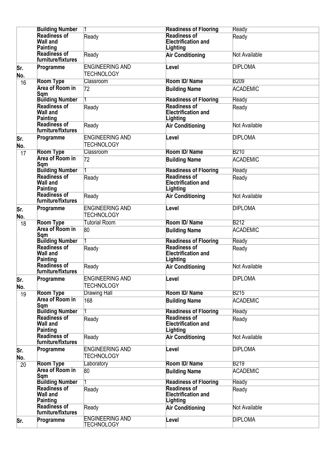|            | <b>Building Number</b>                             | 1                                           | <b>Readiness of Flooring</b>                                  | Ready           |
|------------|----------------------------------------------------|---------------------------------------------|---------------------------------------------------------------|-----------------|
|            | <b>Readiness of</b>                                | Ready                                       | <b>Readiness of</b>                                           | Ready           |
|            | <b>Wall and</b>                                    |                                             | <b>Electrification and</b>                                    |                 |
|            | Painting<br><b>Readiness of</b>                    |                                             | Lighting                                                      |                 |
|            | furniture/fixtures                                 | Ready                                       | <b>Air Conditioning</b>                                       | Not Available   |
| lSr.       | Programme                                          | <b>ENGINEERING AND</b>                      | Level                                                         | <b>DIPLOMA</b>  |
| No.        |                                                    | <b>TECHNOLOGY</b>                           |                                                               |                 |
| 16         | <b>Room Type</b>                                   | Classroom                                   | Room ID/Name                                                  | <b>B209</b>     |
|            | <b>Area of Room in</b>                             | 72                                          | <b>Building Name</b>                                          | <b>ACADEMIC</b> |
|            | Sqm                                                |                                             |                                                               |                 |
|            | <b>Building Number</b>                             |                                             | <b>Readiness of Flooring</b>                                  | Ready           |
|            | <b>Readiness of</b><br><b>Wall and</b><br>Painting | Ready                                       | <b>Readiness of</b><br><b>Electrification and</b><br>Lighting | Ready           |
|            | <b>Readiness of</b><br>furniture/fixtures          | Ready                                       | <b>Air Conditioning</b>                                       | Not Available   |
| Sr.<br>No. | Programme                                          | <b>ENGINEERING AND</b><br><b>TECHNOLOGY</b> | Level                                                         | <b>DIPLOMA</b>  |
| 17         | <b>Room Type</b>                                   | <b>Classroom</b>                            | Room ID/Name                                                  | <b>B210</b>     |
|            | Area of Room in<br>Sqm                             | 72                                          | <b>Building Name</b>                                          | <b>ACADEMIC</b> |
|            | <b>Building Number</b>                             |                                             | <b>Readiness of Flooring</b>                                  | Ready           |
|            | <b>Readiness of</b><br><b>Wall and</b><br>Painting | Ready                                       | <b>Readiness of</b><br><b>Electrification and</b><br>Lighting | Ready           |
|            | <b>Readiness of</b><br>furniture/fixtures          | Ready                                       | <b>Air Conditioning</b>                                       | Not Available   |
| Sr.<br>No. | Programme                                          | <b>ENGINEERING AND</b><br><b>TECHNOLOGY</b> | Level                                                         | <b>DIPLOMA</b>  |
| 18         | <b>Room Type</b>                                   | <b>Tutorial Room</b>                        | Room ID/Name                                                  | <b>B212</b>     |
|            | <b>Area of Room in</b><br>Sqm                      | 80                                          | <b>Building Name</b>                                          | <b>ACADEMIC</b> |
|            | <b>Building Number</b>                             |                                             | <b>Readiness of Flooring</b>                                  | Ready           |
|            | <b>Readiness of</b><br><b>Wall and</b><br>Painting | Ready                                       | <b>Readiness of</b><br><b>Electrification and</b><br>Lighting | Ready           |
|            | <b>Readiness of</b><br>furniture/fixtures          | Ready                                       | <b>Air Conditioning</b>                                       | Not Available   |
| Sr.<br>No. | Programme                                          | <b>ENGINEERING AND</b><br><b>TECHNOLOGY</b> | Level                                                         | <b>DIPLOMA</b>  |
| 19         | <b>Room Type</b>                                   | <b>Drawing Hall</b>                         | Room ID/Name                                                  | <b>B215</b>     |
|            | <b>Area of Room in</b><br>Sqm                      | 168                                         | <b>Building Name</b>                                          | <b>ACADEMIC</b> |
|            | <b>Building Number</b><br><b>Readiness of</b>      |                                             | <b>Readiness of Flooring</b><br><b>Readiness of</b>           | Ready           |
|            | <b>Wall and</b><br>Painting                        | Ready                                       | <b>Electrification and</b><br>Lighting                        | Ready           |
|            | <b>Readiness of</b><br>furniture/fixtures          | Ready                                       | <b>Air Conditioning</b>                                       | Not Available   |
| Sr.<br>No. | Programme                                          | <b>ENGINEERING AND</b><br>TECHNOLOGY        | Level                                                         | <b>DIPLOMA</b>  |
| 20         | <b>Room Type</b>                                   | Laboratory                                  | Room ID/Name                                                  | <b>B219</b>     |
|            | <b>Area of Room in</b><br>Sqm                      | 80                                          | <b>Building Name</b>                                          | <b>ACADEMIC</b> |
|            | <b>Building Number</b>                             |                                             | <b>Readiness of Flooring</b>                                  | Ready           |
|            | <b>Readiness of</b><br><b>Wall and</b><br>Painting | Ready                                       | <b>Readiness of</b><br><b>Electrification and</b><br>Lighting | Ready           |
|            | <b>Readiness of</b><br>furniture/fixtures          | Ready                                       | <b>Air Conditioning</b>                                       | Not Available   |
| lSr.       | Programme                                          | <b>ENGINEERING AND</b><br>TECHNOLOGY        | Level                                                         | <b>DIPLOMA</b>  |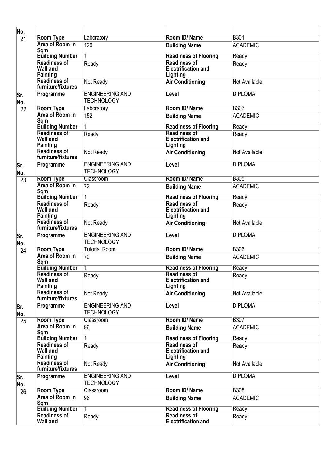| No.        |                                                    |                                             |                                                               |                 |
|------------|----------------------------------------------------|---------------------------------------------|---------------------------------------------------------------|-----------------|
| 21         | <b>Room Type</b>                                   | Laboratory                                  | Room ID/Name                                                  | <b>B301</b>     |
|            | <b>Area of Room in</b><br>Sqm                      | 120                                         | <b>Building Name</b>                                          | <b>ACADEMIC</b> |
|            | <b>Building Number</b>                             |                                             | <b>Readiness of Flooring</b>                                  | Ready           |
|            | <b>Readiness of</b><br><b>Wall and</b><br>Painting | Ready                                       | <b>Readiness of</b><br><b>Electrification and</b><br>Lighting | Ready           |
|            | <b>Readiness of</b><br>furniture/fixtures          | Not Ready                                   | <b>Air Conditioning</b>                                       | Not Available   |
| Sr.<br>No. | Programme                                          | <b>ENGINEERING AND</b><br>TECHNOLOGY        | Level                                                         | <b>DIPLOMA</b>  |
| 22         | <b>Room Type</b>                                   | Laboratory                                  | Room ID/Name                                                  | <b>B303</b>     |
|            | <b>Area of Room in</b><br>Sqm                      | 152                                         | <b>Building Name</b>                                          | <b>ACADEMIC</b> |
|            | <b>Building Number</b><br><b>Readiness of</b>      |                                             | <b>Readiness of Flooring</b><br><b>Readiness of</b>           | Ready           |
|            | <b>Wall and</b><br>Painting                        | Ready                                       | <b>Electrification and</b><br>Lighting                        | Ready           |
|            | Readiness of<br>furniture/fixtures                 | Not Ready                                   | <b>Air Conditioning</b>                                       | Not Available   |
| Sr.<br>No. | Programme                                          | <b>ENGINEERING AND</b><br><b>TECHNOLOGY</b> | Level                                                         | <b>DIPLOMA</b>  |
| 23         | <b>Room Type</b>                                   | <b>Classroom</b>                            | Room ID/Name                                                  | <b>B305</b>     |
|            | Area of Room in<br>Sqm                             | 72                                          | <b>Building Name</b>                                          | <b>ACADEMIC</b> |
|            | <b>Building Number</b>                             |                                             | <b>Readiness of Flooring</b>                                  | Ready           |
|            | <b>Readiness of</b><br><b>Wall and</b><br>Painting | Ready                                       | <b>Readiness of</b><br><b>Electrification and</b><br>Lighting | Ready           |
|            | <b>Readiness of</b><br>furniture/fixtures          | Not Ready                                   | <b>Air Conditioning</b>                                       | Not Available   |
| Sr.<br>No. | Programme                                          | <b>ENGINEERING AND</b><br><b>TECHNOLOGY</b> | Level                                                         | <b>DIPLOMA</b>  |
| 24         | <b>Room Type</b>                                   | <b>Tutorial Room</b>                        | Room ID/Name                                                  | <b>B306</b>     |
|            | <b>Area of Room in</b><br>Sam                      | 72                                          | <b>Building Name</b>                                          | <b>ACADEMIC</b> |
|            | <b>Building Number</b><br><b>Readiness of</b>      |                                             | <b>Readiness of Flooring</b><br><b>Readiness of</b>           | Ready           |
|            | <b>Wall and</b><br>Painting                        | Ready                                       | Electrification and<br>Lighting                               | Ready           |
|            | <b>Readiness of</b><br>furniture/fixtures          | Not Ready                                   | <b>Air Conditioning</b>                                       | Not Available   |
| Sr.<br>No. | Programme                                          | <b>ENGINEERING AND</b><br><b>TECHNOLOGY</b> | Level                                                         | <b>DIPLOMA</b>  |
| 25         | <b>Room Type</b>                                   | <b>Classroom</b>                            | Room ID/Name                                                  | <b>B307</b>     |
|            | <b>Area of Room in</b><br>Sqm                      | 96                                          | <b>Building Name</b>                                          | <b>ACADEMIC</b> |
|            | <b>Building Number</b><br><b>Readiness of</b>      |                                             | <b>Readiness of Flooring</b><br><b>Readiness of</b>           | Ready           |
|            | <b>Wall and</b><br>Painting                        | Ready                                       | <b>Electrification and</b><br>Lighting                        | Ready           |
|            | <b>Readiness of</b><br>furniture/fixtures          | Not Ready                                   | <b>Air Conditioning</b>                                       | Not Available   |
| Sr.<br>No. | Programme                                          | <b>ENGINEERING AND</b><br>TECHNOLOGY        | Level                                                         | <b>DIPLOMA</b>  |
| 26         | <b>Room Type</b>                                   | Classroom                                   | Room ID/Name                                                  | <b>B308</b>     |
|            | <b>Area of Room in</b><br>Sqm                      | 96                                          | <b>Building Name</b>                                          | <b>ACADEMIC</b> |
|            | <b>Building Number</b>                             |                                             | <b>Readiness of Flooring</b>                                  | Ready           |
|            | <b>Readiness of</b><br><b>Wall and</b>             | Ready                                       | <b>Readiness of</b><br><b>Electrification and</b>             | Ready           |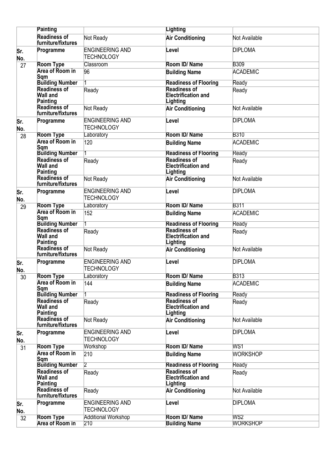|             | <b>Painting</b>                                    |                                             | <b>Lighting</b>                                               |                 |
|-------------|----------------------------------------------------|---------------------------------------------|---------------------------------------------------------------|-----------------|
|             | <b>Readiness of</b>                                | Not Ready                                   | <b>Air Conditioning</b>                                       | Not Available   |
|             | furniture/fixtures                                 |                                             |                                                               |                 |
| lSr.<br>No. | Programme                                          | <b>ENGINEERING AND</b><br><b>TECHNOLOGY</b> | Level                                                         | <b>DIPLOMA</b>  |
| 27          | <b>Room Type</b>                                   | <b>Classroom</b>                            | Room ID/Name                                                  | <b>B309</b>     |
|             | <b>Area of Room in</b><br>Sam                      | 96                                          | <b>Building Name</b>                                          | <b>ACADEMIC</b> |
|             | <b>Building Number</b>                             |                                             | <b>Readiness of Flooring</b>                                  | Ready           |
|             | <b>Readiness of</b><br><b>Wall and</b><br>Painting | Ready                                       | <b>Readiness of</b><br><b>Electrification and</b><br>Lighting | Ready           |
|             | <b>Readiness of</b><br>furniture/fixtures          | Not Ready                                   | <b>Air Conditioning</b>                                       | Not Available   |
| Sr.<br>No.  | Programme                                          | <b>ENGINEERING AND</b><br><b>TECHNOLOGY</b> | Level                                                         | <b>DIPLOMA</b>  |
| 28          | <b>Room Type</b>                                   | Laboratory                                  | Room ID/Name                                                  | <b>B310</b>     |
|             | <b>Area of Room in</b><br>Sqm                      | 120                                         | <b>Building Name</b>                                          | <b>ACADEMIC</b> |
|             | <b>Building Number</b>                             |                                             | <b>Readiness of Flooring</b>                                  | Ready           |
|             | <b>Readiness of</b><br><b>Wall and</b><br>Painting | Ready                                       | <b>Readiness of</b><br><b>Electrification and</b><br>Lighting | Ready           |
|             | <b>Readiness of</b><br>furniture/fixtures          | Not Ready                                   | <b>Air Conditioning</b>                                       | Not Available   |
| Sr.<br>No.  | Programme                                          | <b>ENGINEERING AND</b><br><b>TECHNOLOGY</b> | Level                                                         | <b>DIPLOMA</b>  |
| 29          | <b>Room Type</b>                                   | Laboratory                                  | Room ID/Name                                                  | <b>B311</b>     |
|             | <b>Area of Room in</b><br>Sqm                      | 152                                         | <b>Building Name</b>                                          | <b>ACADEMIC</b> |
|             | <b>Building Number</b>                             |                                             | <b>Readiness of Flooring</b>                                  | Ready           |
|             | <b>Readiness of</b><br>Wall and<br>Painting        | Ready                                       | <b>Readiness of</b><br><b>Electrification and</b><br>Lighting | Ready           |
|             | <b>Readiness of</b><br>furniture/fixtures          | Not Ready                                   | <b>Air Conditioning</b>                                       | Not Available   |
| Sr.<br>No.  | Programme                                          | <b>ENGINEERING AND</b><br><b>TECHNOLOGY</b> | Level                                                         | <b>DIPLOMA</b>  |
| 30          | Room Type                                          | Laboratory                                  | Room ID/Name                                                  | <b>B313</b>     |
|             | <b>Area of Room in</b><br>Sqm                      | 144                                         | <b>Building Name</b>                                          | <b>ACADEMIC</b> |
|             | <b>Building Number</b><br><b>Readiness of</b>      |                                             | <b>Readiness of Flooring</b><br><b>Readiness of</b>           | Ready           |
|             | <b>Wall and</b><br>Painting                        | Ready                                       | <b>Electrification and</b><br>Lighting                        | Ready           |
|             | <b>Readiness of</b><br>furniture/fixtures          | Not Ready                                   | <b>Air Conditioning</b>                                       | Not Available   |
| Sr.<br>No.  | Programme                                          | <b>ENGINEERING AND</b><br>TECHNOLOGY        | Level                                                         | <b>DIPLOMA</b>  |
| 31          | <b>Room Type</b>                                   | Workshop                                    | Room ID/Name                                                  | WS1             |
|             | <b>Area of Room in</b><br>Sqm                      | 210                                         | <b>Building Name</b>                                          | <b>WORKSHOP</b> |
|             | <b>Building Number</b>                             | 2                                           | <b>Readiness of Flooring</b><br><b>Readiness of</b>           | Ready           |
|             | <b>Readiness of</b><br><b>Wall and</b><br>Painting | Ready                                       | <b>Electrification and</b><br>Lighting                        | Ready           |
|             | <b>Readiness of</b><br>furniture/fixtures          | Ready                                       | <b>Air Conditioning</b>                                       | Not Available   |
| Sr.<br>No.  | Programme                                          | <b>ENGINEERING AND</b><br><b>TECHNOLOGY</b> | Level                                                         | <b>DIPLOMA</b>  |
| 32          | <b>Room Type</b>                                   | <b>Additional Workshop</b>                  | Room ID/Name                                                  | WS2             |
|             | <b>Area of Room in</b>                             | 210                                         | <b>Building Name</b>                                          | <b>WORKSHOP</b> |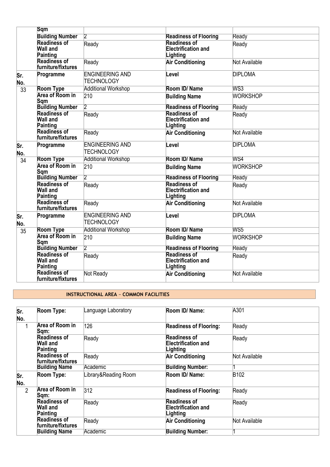|                 | <b>Sqm</b>                                         |                                             |                                                               |                 |
|-----------------|----------------------------------------------------|---------------------------------------------|---------------------------------------------------------------|-----------------|
|                 | <b>Building Number</b>                             |                                             | <b>Readiness of Flooring</b>                                  | Ready           |
|                 | <b>Readiness of</b><br><b>Wall and</b><br>Painting | Ready                                       | <b>Readiness of</b><br><b>Electrification and</b><br>Lighting | Ready           |
|                 | Readiness of<br>furniture/fixtures                 | Ready                                       | <b>Air Conditioning</b>                                       | Not Available   |
| Sr.<br>No.      | Programme                                          | <b>ENGINEERING AND</b><br><b>TECHNOLOGY</b> | Level                                                         | <b>DIPLOMA</b>  |
| $\overline{33}$ | <b>Room Type</b>                                   | <b>Additional Workshop</b>                  | Room ID/Name                                                  | WS3             |
|                 | Area of Room in<br>Sqm                             | 210                                         | <b>Building Name</b>                                          | <b>WORKSHOP</b> |
|                 | <b>Building Number</b>                             | $\overline{2}$                              | <b>Readiness of Flooring</b>                                  | Ready           |
|                 | <b>Readiness of</b><br><b>Wall and</b><br>Painting | Ready                                       | <b>Readiness of</b><br><b>Electrification and</b><br>Lighting | Ready           |
|                 | <b>Readiness of</b><br>furniture/fixtures          | Ready                                       | <b>Air Conditioning</b>                                       | Not Available   |
| Sr.<br>No.      | Programme                                          | <b>ENGINEERING AND</b><br><b>TECHNOLOGY</b> | Level                                                         | <b>DIPLOMA</b>  |
| $\overline{34}$ | <b>Room Type</b>                                   | <b>Additional Workshop</b>                  | Room ID/Name                                                  | WS4             |
|                 | <b>Area of Room in</b><br>Sqm                      | 210                                         | <b>Building Name</b>                                          | WORKSHOP        |
|                 | <b>Building Number</b>                             | $\overline{2}$                              | <b>Readiness of Flooring</b>                                  | Ready           |
|                 | Readiness of<br><b>Wall and</b><br>Painting        | Ready                                       | <b>Readiness of</b><br><b>Electrification and</b><br>Lighting | Ready           |
|                 | <b>Readiness of</b><br>furniture/fixtures          | Ready                                       | <b>Air Conditioning</b>                                       | Not Available   |
| Sr.<br>No.      | Programme                                          | <b>ENGINEERING AND</b><br><b>TECHNOLOGY</b> | Level                                                         | <b>DIPLOMA</b>  |
| 35              | <b>Room Type</b>                                   | <b>Additional Workshop</b>                  | Room ID/Name                                                  | WS5             |
|                 | Area of Room in<br>Sqm                             | 210                                         | <b>Building Name</b>                                          | <b>WORKSHOP</b> |
|                 | <b>Building Number</b>                             | $\overline{2}$                              | <b>Readiness of Flooring</b>                                  | Ready           |
|                 | <b>Readiness of</b><br><b>Wall and</b><br>Painting | Ready                                       | <b>Readiness of</b><br><b>Electrification and</b><br>Lighting | Ready           |
|                 | Readiness of<br>furniture/fixtures                 | Not Ready                                   | <b>Air Conditioning</b>                                       | Not Available   |

#### **INSTRUCTIONAL AREA** – **COMMON FACILITIES**

| Sr.<br>No.     | Room Type:                                         | Language Laboratory  | Room ID/ Name:                                                | A301             |
|----------------|----------------------------------------------------|----------------------|---------------------------------------------------------------|------------------|
| 1              | <b>Area of Room in</b><br>Sqm:                     | 126                  | <b>Readiness of Flooring:</b>                                 | Ready            |
|                | <b>Readiness of</b><br>Wall and<br>Painting        | Ready                | <b>Readiness of</b><br><b>Electrification and</b><br>Lighting | Ready            |
|                | <b>Readiness of</b><br>furniture/fixtures          | Ready                | <b>Air Conditioning</b>                                       | Not Available    |
|                | <b>Building Name</b>                               | Academic             | <b>Building Number:</b>                                       |                  |
| Sr.<br>No.     | Room Type:                                         | Library&Reading Room | Room ID/ Name:                                                | B <sub>102</sub> |
| $\overline{2}$ | Area of Room in<br>Sqm:                            | 312                  | <b>Readiness of Flooring:</b>                                 | Ready            |
|                | <b>Readiness of</b><br><b>Wall and</b><br>Painting | Ready                | <b>Readiness of</b><br><b>Electrification and</b><br>Lighting | Ready            |
|                | <b>Readiness of</b><br>furniture/fixtures          | Ready                | <b>Air Conditioning</b>                                       | Not Available    |
|                | <b>Building Name</b>                               | <b>Academic</b>      | <b>Building Number:</b>                                       |                  |